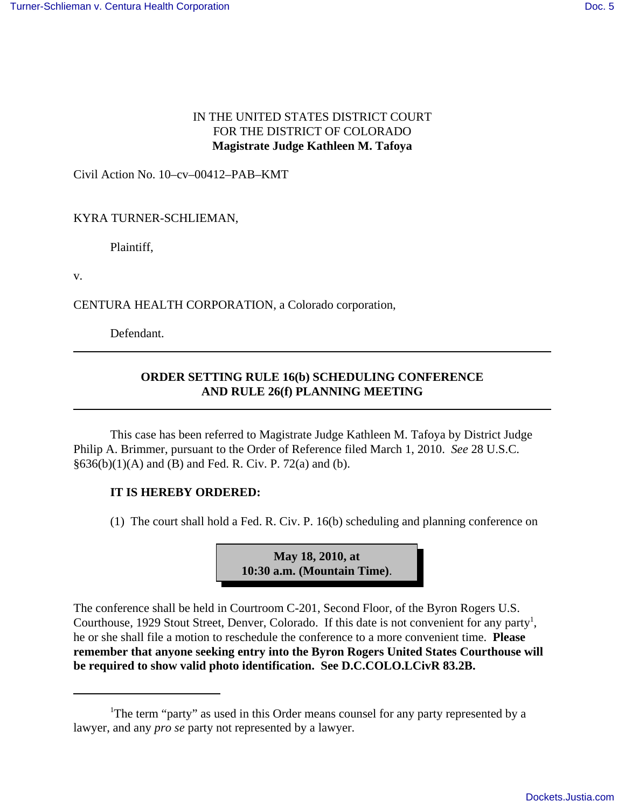## IN THE UNITED STATES DISTRICT COURT FOR THE DISTRICT OF COLORADO **Magistrate Judge Kathleen M. Tafoya**

Civil Action No. 10–cv–00412–PAB–KMT

## KYRA TURNER-SCHLIEMAN,

Plaintiff,

v.

CENTURA HEALTH CORPORATION, a Colorado corporation,

Defendant.

## **ORDER SETTING RULE 16(b) SCHEDULING CONFERENCE AND RULE 26(f) PLANNING MEETING**

This case has been referred to Magistrate Judge Kathleen M. Tafoya by District Judge Philip A. Brimmer, pursuant to the Order of Reference filed March 1, 2010. *See* 28 U.S.C.  $§636(b)(1)(A)$  and (B) and Fed. R. Civ. P. 72(a) and (b).

## **IT IS HEREBY ORDERED:**

(1) The court shall hold a Fed. R. Civ. P. 16(b) scheduling and planning conference on



The conference shall be held in Courtroom C-201, Second Floor, of the Byron Rogers U.S. Courthouse, 1929 Stout Street, Denver, Colorado. If this date is not convenient for any party<sup>1</sup>, he or she shall file a motion to reschedule the conference to a more convenient time. **Please remember that anyone seeking entry into the Byron Rogers United States Courthouse will be required to show valid photo identification. See D.C.COLO.LCivR 83.2B.**

<sup>&</sup>lt;sup>1</sup>The term "party" as used in this Order means counsel for any party represented by a lawyer, and any *pro se* party not represented by a lawyer.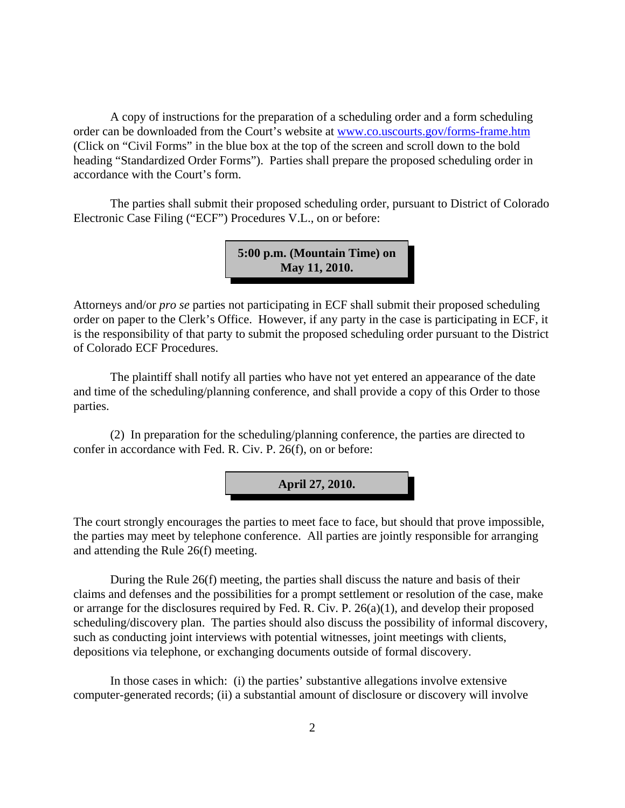A copy of instructions for the preparation of a scheduling order and a form scheduling order can be downloaded from the Court's website at www.co.uscourts.gov/forms-frame.htm (Click on "Civil Forms" in the blue box at the top of the screen and scroll down to the bold heading "Standardized Order Forms"). Parties shall prepare the proposed scheduling order in accordance with the Court's form.

The parties shall submit their proposed scheduling order, pursuant to District of Colorado Electronic Case Filing ("ECF") Procedures V.L., on or before:

> **5:00 p.m. (Mountain Time) on May 11, 2010.**

Attorneys and/or *pro se* parties not participating in ECF shall submit their proposed scheduling order on paper to the Clerk's Office. However, if any party in the case is participating in ECF, it is the responsibility of that party to submit the proposed scheduling order pursuant to the District of Colorado ECF Procedures.

The plaintiff shall notify all parties who have not yet entered an appearance of the date and time of the scheduling/planning conference, and shall provide a copy of this Order to those parties.

(2) In preparation for the scheduling/planning conference, the parties are directed to confer in accordance with Fed. R. Civ. P. 26(f), on or before:



The court strongly encourages the parties to meet face to face, but should that prove impossible, the parties may meet by telephone conference. All parties are jointly responsible for arranging and attending the Rule 26(f) meeting.

During the Rule 26(f) meeting, the parties shall discuss the nature and basis of their claims and defenses and the possibilities for a prompt settlement or resolution of the case, make or arrange for the disclosures required by Fed. R. Civ. P. 26(a)(1), and develop their proposed scheduling/discovery plan. The parties should also discuss the possibility of informal discovery, such as conducting joint interviews with potential witnesses, joint meetings with clients, depositions via telephone, or exchanging documents outside of formal discovery.

In those cases in which: (i) the parties' substantive allegations involve extensive computer-generated records; (ii) a substantial amount of disclosure or discovery will involve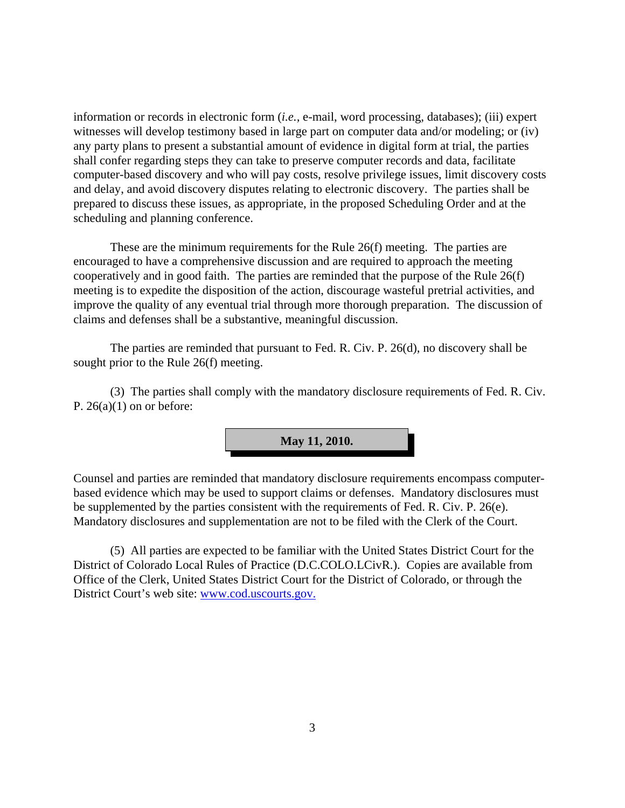information or records in electronic form (*i.e.,* e-mail, word processing, databases); (iii) expert witnesses will develop testimony based in large part on computer data and/or modeling; or (iv) any party plans to present a substantial amount of evidence in digital form at trial, the parties shall confer regarding steps they can take to preserve computer records and data, facilitate computer-based discovery and who will pay costs, resolve privilege issues, limit discovery costs and delay, and avoid discovery disputes relating to electronic discovery. The parties shall be prepared to discuss these issues, as appropriate, in the proposed Scheduling Order and at the scheduling and planning conference.

These are the minimum requirements for the Rule 26(f) meeting. The parties are encouraged to have a comprehensive discussion and are required to approach the meeting cooperatively and in good faith. The parties are reminded that the purpose of the Rule 26(f) meeting is to expedite the disposition of the action, discourage wasteful pretrial activities, and improve the quality of any eventual trial through more thorough preparation. The discussion of claims and defenses shall be a substantive, meaningful discussion.

The parties are reminded that pursuant to Fed. R. Civ. P. 26(d), no discovery shall be sought prior to the Rule 26(f) meeting.

(3) The parties shall comply with the mandatory disclosure requirements of Fed. R. Civ. P.  $26(a)(1)$  on or before:



Counsel and parties are reminded that mandatory disclosure requirements encompass computerbased evidence which may be used to support claims or defenses. Mandatory disclosures must be supplemented by the parties consistent with the requirements of Fed. R. Civ. P. 26(e). Mandatory disclosures and supplementation are not to be filed with the Clerk of the Court.

(5) All parties are expected to be familiar with the United States District Court for the District of Colorado Local Rules of Practice (D.C.COLO.LCivR.). Copies are available from Office of the Clerk, United States District Court for the District of Colorado, or through the District Court's web site: www.cod.uscourts.gov.